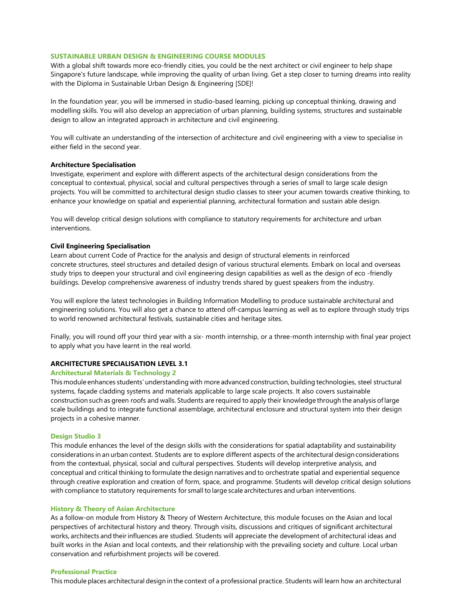# **SUSTAINABLE URBAN DESIGN & ENGINEERING COURSE MODULES**

With a global shift towards more eco-friendly cities, you could be the next architect or civil engineer to help shape Singapore's future landscape, while improving the quality of urban living. Get a step closer to turning dreams into reality with the Diploma in Sustainable Urban Design & Engineering [SDE]!

In the foundation year, you will be immersed in studio-based learning, picking up conceptual thinking, drawing and modelling skills. You will also develop an appreciation of urban planning, building systems, structures and sustainable design to allow an integrated approach in architecture and civil engineering.

You will cultivate an understanding of the intersection of architecture and civil engineering with a view to specialise in either field in the second year.

## **Architecture Specialisation**

Investigate, experiment and explore with different aspects of the architectural design considerations from the conceptual to contextual, physical, social and cultural perspectives through a series of small to large scale design projects. You will be committed to architectural design studio classes to steer your acumen towards creative thinking, to enhance your knowledge on spatial and experiential planning, architectural formation and sustain able design.

You will develop critical design solutions with compliance to statutory requirements for architecture and urban interventions.

## **Civil Engineering Specialisation**

Learn about current Code of Practice for the analysis and design of structural elements in reinforced concrete structures, steel structures and detailed design of various structural elements. Embark on local and overseas study trips to deepen your structural and civil engineering design capabilities as well as the design of eco -friendly buildings. Develop comprehensive awareness of industry trends shared by guest speakers from the industry.

You will explore the latest technologies in Building Information Modelling to produce sustainable architectural and engineering solutions. You will also get a chance to attend off-campus learning as well as to explore through study trips to world renowned architectural festivals, sustainable cities and heritage sites.

Finally, you will round off your third year with a six- month internship, or a three-month internship with final year project to apply what you have learnt in the real world.

## **ARCHITECTURE SPECIALISATION LEVEL 3.1**

## **Architectural Materials & Technology 2**

This module enhances students' understanding with more advanced construction, building technologies, steel structural systems, façade cladding systems and materials applicable to large scale projects. It also covers sustainable construction such as green roofs and walls. Students are required to apply their knowledge through the analysis oflarge scale buildings and to integrate functional assemblage, architectural enclosure and structural system into their design projects in a cohesive manner.

#### **Design Studio 3**

This module enhances the level of the design skills with the considerations for spatial adaptability and sustainability considerations in an urban context. Students are to explore different aspects of the architectural design considerations from the contextual, physical, social and cultural perspectives. Students will develop interpretive analysis, and conceptual and critical thinking to formulate the design narratives and to orchestrate spatial and experiential sequence through creative exploration and creation of form, space, and programme. Students will develop critical design solutions with compliance to statutory requirements for small to large scale architectures and urban interventions.

#### **History & Theory of Asian Architecture**

As a follow-on module from History & Theory of Western Architecture, this module focuses on the Asian and local perspectives of architectural history and theory. Through visits, discussions and critiques of significant architectural works, architects and theirinfluences are studied. Students will appreciate the development of architectural ideas and built works in the Asian and local contexts, and their relationship with the prevailing society and culture. Local urban conservation and refurbishment projects will be covered.

## **Professional Practice**

This module places architectural design in the context of a professional practice. Students will learn how an architectural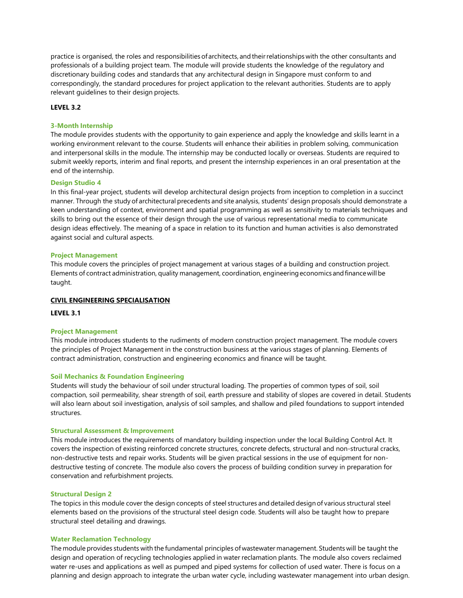practice is organised, the roles and responsibilities ofarchitects, andtheirrelationships with the other consultants and professionals of a building project team. The module will provide students the knowledge of the regulatory and discretionary building codes and standards that any architectural design in Singapore must conform to and correspondingly, the standard procedures for project application to the relevant authorities. Students are to apply relevant guidelines to their design projects.

# **LEVEL 3.2**

#### **3-Month Internship**

The module provides students with the opportunity to gain experience and apply the knowledge and skills learnt in a working environment relevant to the course. Students will enhance their abilities in problem solving, communication and interpersonal skills in the module. The internship may be conducted locally or overseas. Students are required to submit weekly reports, interim and final reports, and present the internship experiences in an oral presentation at the end of the internship.

### **Design Studio 4**

In this final-year project, students will develop architectural design projects from inception to completion in a succinct manner. Through the study of architectural precedents and site analysis, students' design proposals should demonstrate a keen understanding of context, environment and spatial programming as well as sensitivity to materials techniques and skills to bring out the essence of their design through the use of various representational media to communicate design ideas effectively. The meaning of a space in relation to its function and human activities is also demonstrated against social and cultural aspects.

## **Project Management**

This module covers the principles of project management at various stages of a building and construction project. Elements of contract administration, quality management, coordination, engineeringeconomics andfinancewillbe taught.

### **CIVIL ENGINEERING SPECIALISATION**

**LEVEL 3.1**

## **Project Management**

This module introduces students to the rudiments of modern construction project management. The module covers the principles of Project Management in the construction business at the various stages of planning. Elements of contract administration, construction and engineering economics and finance will be taught.

#### **Soil Mechanics & Foundation Engineering**

Students will study the behaviour of soil under structural loading. The properties of common types of soil, soil compaction, soil permeability, shear strength of soil, earth pressure and stability of slopes are covered in detail. Students will also learn about soil investigation, analysis of soil samples, and shallow and piled foundations to support intended structures.

### **Structural Assessment & Improvement**

This module introduces the requirements of mandatory building inspection under the local Building Control Act. It covers the inspection of existing reinforced concrete structures, concrete defects, structural and non-structural cracks, non-destructive tests and repair works. Students will be given practical sessions in the use of equipment for nondestructive testing of concrete. The module also covers the process of building condition survey in preparation for conservation and refurbishment projects.

## **Structural Design 2**

The topics in this module cover the design concepts of steel structures and detailed design of various structural steel elements based on the provisions of the structural steel design code. Students will also be taught how to prepare structural steel detailing and drawings.

## **Water Reclamation Technology**

The module provides students with the fundamental principles ofwastewater management. Students will be taught the design and operation of recycling technologies applied in water reclamation plants. The module also covers reclaimed water re-uses and applications as well as pumped and piped systems for collection of used water. There is focus on a planning and design approach to integrate the urban water cycle, including wastewater management into urban design.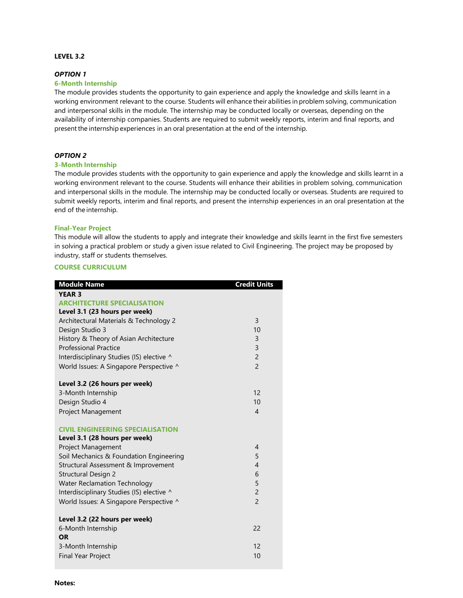# **LEVEL 3.2**

# *OPTION 1*

# **6-Month Internship**

The module provides students the opportunity to gain experience and apply the knowledge and skills learnt in a working environment relevant to the course. Students will enhance their abilities in problem solving, communication and interpersonal skills in the module. The internship may be conducted locally or overseas, depending on the availability of internship companies. Students are required to submit weekly reports, interim and final reports, and presentthe internship experiences in an oral presentation at the end of the internship.

# *OPTION 2*

# **3-Month Internship**

The module provides students with the opportunity to gain experience and apply the knowledge and skills learnt in a working environment relevant to the course. Students will enhance their abilities in problem solving, communication and interpersonal skills in the module. The internship may be conducted locally or overseas. Students are required to submit weekly reports, interim and final reports, and present the internship experiences in an oral presentation at the end of the internship.

# **Final-Year Project**

This module will allow the students to apply and integrate their knowledge and skills learnt in the first five semesters in solving a practical problem or study a given issue related to Civil Engineering. The project may be proposed by industry, staff or students themselves.

# **COURSE CURRICULUM**

| <b>Module Name</b>                        | <b>Credit Units</b> |
|-------------------------------------------|---------------------|
| <b>YEAR 3</b>                             |                     |
| <b>ARCHITECTURE SPECIALISATION</b>        |                     |
| Level 3.1 (23 hours per week)             |                     |
| Architectural Materials & Technology 2    | $\overline{3}$      |
| Design Studio 3                           | 10                  |
| History & Theory of Asian Architecture    | 3                   |
| <b>Professional Practice</b>              | 3                   |
| Interdisciplinary Studies (IS) elective ^ | $\overline{c}$      |
| World Issues: A Singapore Perspective ^   | $\overline{2}$      |
| Level 3.2 (26 hours per week)             |                     |
| 3-Month Internship                        | 12                  |
| Design Studio 4                           | 10                  |
| Project Management                        | $\overline{4}$      |
| <b>CIVIL ENGINEERING SPECIALISATION</b>   |                     |
| Level 3.1 (28 hours per week)             |                     |
| <b>Project Management</b>                 | $\overline{4}$      |
| Soil Mechanics & Foundation Engineering   | 5                   |
| Structural Assessment & Improvement       | $\overline{4}$      |
| <b>Structural Design 2</b>                | 6                   |
| <b>Water Reclamation Technology</b>       | 5                   |
| Interdisciplinary Studies (IS) elective ^ | $\overline{c}$      |
| World Issues: A Singapore Perspective ^   | $\overline{2}$      |
| Level 3.2 (22 hours per week)             |                     |
| 6-Month Internship                        | 22                  |
| <b>OR</b>                                 |                     |
| 3-Month Internship                        | 12                  |
| <b>Final Year Project</b>                 | 10                  |
|                                           |                     |